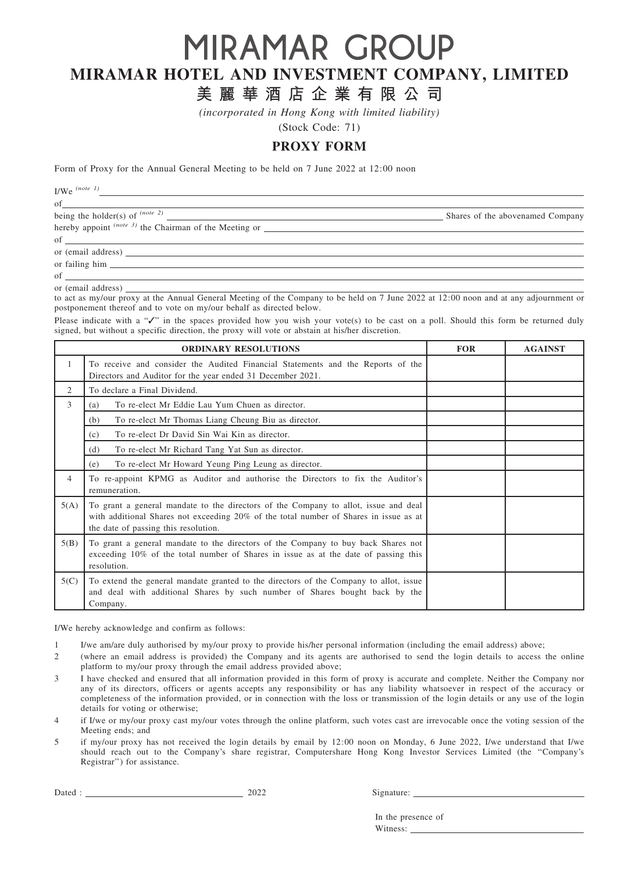# MIRAMAR GROUP MIRAMAR HOTEL AND INVESTMENT COMPANY, LIMITED

# 美 麗 華 酒 店 企 業 有 限 公 司

(incorporated in Hong Kong with limited liability)

(Stock Code: 71)

## PROXY FORM

Form of Proxy for the Annual General Meeting to be held on 7 June 2022 at 12:00 noon

I/We  $^{(note\ 1)}$ 

| of                                                          |                                  |
|-------------------------------------------------------------|----------------------------------|
| being the holder(s) of $^{(note 2)}$                        | Shares of the abovenamed Company |
| hereby appoint $^{(note 3)}$ the Chairman of the Meeting or |                                  |
| of $\qquad \qquad$                                          |                                  |
|                                                             |                                  |
|                                                             |                                  |

of or (email address)

to act as my/our proxy at the Annual General Meeting of the Company to be held on 7 June 2022 at 12:00 noon and at any adjournment or postponement thereof and to vote on my/our behalf as directed below.

Please indicate with a "√" in the spaces provided how you wish your vote(s) to be cast on a poll. Should this form be returned duly signed, but without a specific direction, the proxy will vote or abstain at his/her discretion.

|              | <b>ORDINARY RESOLUTIONS</b>                                                                                                                                                                                          | <b>FOR</b> | <b>AGAINST</b> |
|--------------|----------------------------------------------------------------------------------------------------------------------------------------------------------------------------------------------------------------------|------------|----------------|
| $\mathbf{1}$ | To receive and consider the Audited Financial Statements and the Reports of the<br>Directors and Auditor for the year ended 31 December 2021.                                                                        |            |                |
| 2            | To declare a Final Dividend.                                                                                                                                                                                         |            |                |
| 3            | To re-elect Mr Eddie Lau Yum Chuen as director.<br>(a)                                                                                                                                                               |            |                |
|              | To re-elect Mr Thomas Liang Cheung Biu as director.<br>(b)                                                                                                                                                           |            |                |
|              | To re-elect Dr David Sin Wai Kin as director.<br>(c)                                                                                                                                                                 |            |                |
|              | To re-elect Mr Richard Tang Yat Sun as director.<br>(d)                                                                                                                                                              |            |                |
|              | To re-elect Mr Howard Yeung Ping Leung as director.<br>(e)                                                                                                                                                           |            |                |
| 4            | To re-appoint KPMG as Auditor and authorise the Directors to fix the Auditor's<br>remuneration.                                                                                                                      |            |                |
| 5(A)         | To grant a general mandate to the directors of the Company to allot, issue and deal<br>with additional Shares not exceeding 20% of the total number of Shares in issue as at<br>the date of passing this resolution. |            |                |
| 5(B)         | To grant a general mandate to the directors of the Company to buy back Shares not<br>exceeding 10% of the total number of Shares in issue as at the date of passing this<br>resolution.                              |            |                |
| 5(C)         | To extend the general mandate granted to the directors of the Company to allot, issue<br>and deal with additional Shares by such number of Shares bought back by the<br>Company.                                     |            |                |

I/We hereby acknowledge and confirm as follows:

1 I/we am/are duly authorised by my/our proxy to provide his/her personal information (including the email address) above;

2 (where an email address is provided) the Company and its agents are authorised to send the login details to access the online platform to my/our proxy through the email address provided above;

- 3 I have checked and ensured that all information provided in this form of proxy is accurate and complete. Neither the Company nor any of its directors, officers or agents accepts any responsibility or has any liability whatsoever in respect of the accuracy or completeness of the information provided, or in connection with the loss or transmission of the login details or any use of the login details for voting or otherwise;
- 4 if I/we or my/our proxy cast my/our votes through the online platform, such votes cast are irrevocable once the voting session of the Meeting ends; and
- 5 if my/our proxy has not received the login details by email by 12:00 noon on Monday, 6 June 2022, I/we understand that I/we should reach out to the Company's share registrar, Computershare Hong Kong Investor Services Limited (the ''Company's Registrar'') for assistance.

Dated : Signature: 2022 Signature: 2022

In the presence of Witness: